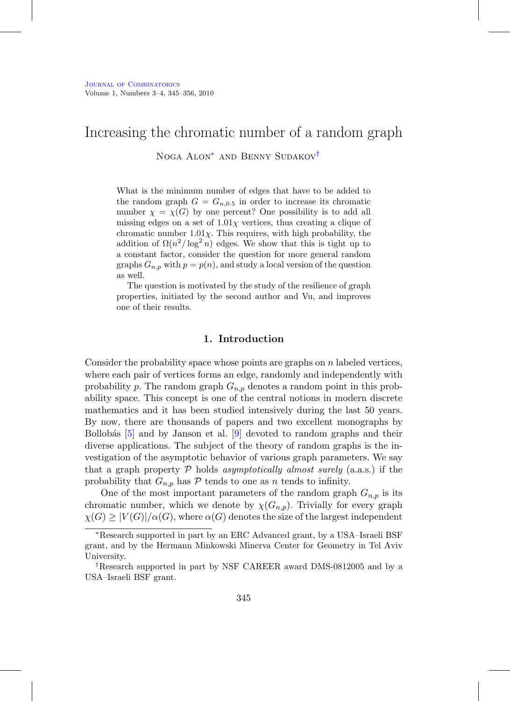# Increasing the chromatic number of a random graph

Noga Alon<sup>\*</sup> and Benny Sudakov<sup>[†](#page-0-1)</sup>

What is the minimum number of edges that have to be added to the random graph  $G = G_{n,0.5}$  in order to increase its chromatic number  $\chi = \chi(G)$  by one percent? One possibility is to add all missing edges on a set of  $1.01\chi$  vertices, thus creating a clique of chromatic number  $1.01\chi$ . This requires, with high probability, the addition of  $\Omega(n^2/\log^2 n)$  edges. We show that this is tight up to a constant factor, consider the question for more general random graphs  $G_{n,p}$  with  $p = p(n)$ , and study a local version of the question as well.

The question is motivated by the study of the resilience of graph properties, initiated by the second author and Vu, and improves one of their results.

## **1. Introduction**

Consider the probability space whose points are graphs on  $n$  labeled vertices, where each pair of vertices forms an edge, randomly and independently with probability p. The random graph  $G_{n,p}$  denotes a random point in this probability space. This concept is one of the central notions in modern discrete mathematics and it has been studied intensively during the last 50 years. By now, there are thousands of papers and two excellent monographs by Bollobás  $\begin{bmatrix} 5 \end{bmatrix}$  and by Janson et al.  $\begin{bmatrix} 9 \end{bmatrix}$  devoted to random graphs and their diverse applications. The subject of the theory of random graphs is the investigation of the asymptotic behavior of various graph parameters. We say that a graph property  $P$  holds asymptotically almost surely (a.a.s.) if the probability that  $G_{n,p}$  has P tends to one as n tends to infinity.

One of the most important parameters of the random graph  $G_{n,p}$  is its chromatic number, which we denote by  $\chi(G_{n,p})$ . Trivially for every graph  $\chi(G) \geq |V(G)|/\alpha(G)$ , where  $\alpha(G)$  denotes the size of the largest independent

<span id="page-0-0"></span><sup>∗</sup>Research supported in part by an ERC Advanced grant, by a USA–Israeli BSF grant, and by the Hermann Minkowski Minerva Center for Geometry in Tel Aviv University.

<span id="page-0-1"></span><sup>†</sup>Research supported in part by NSF CAREER award DMS-0812005 and by a USA–Israeli BSF grant.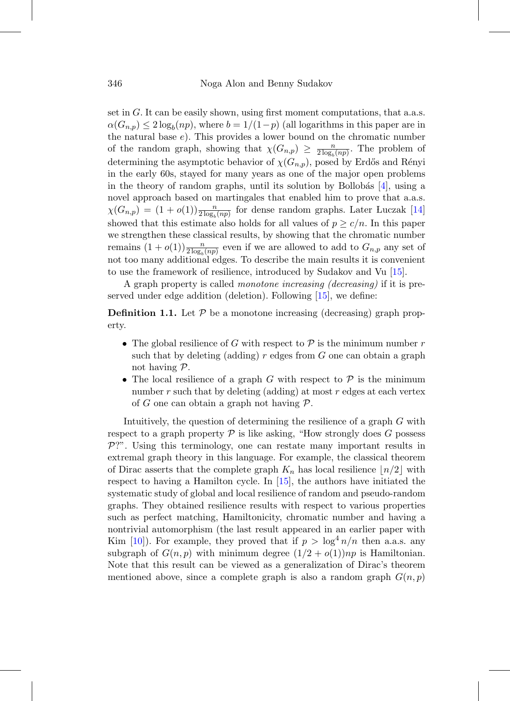set in G. It can be easily shown, using first moment computations, that a.a.s.  $\alpha(G_{n,p}) \leq 2 \log_b(np)$ , where  $b = 1/(1-p)$  (all logarithms in this paper are in the natural base e). This provides a lower bound on the chromatic number of the random graph, showing that  $\chi(G_{n,p}) \geq \frac{n}{2 \log_b(np)}$ . The problem of determining the asymptotic behavior of  $\chi(G_{n,p})$ , posed by Erdős and Rényi in the early 60s, stayed for many years as one of the major open problems in the theory of random graphs, until its solution by Bollobás  $[4]$ , using a novel approach based on martingales that enabled him to prove that a.a.s.  $\chi(G_{n,p}) = (1+o(1))\frac{n}{2\log_b(np)}$  for dense random graphs. Later Luczak [\[14\]](#page-11-0) showed that this estimate also holds for all values of  $p \geq c/n$ . In this paper we strengthen these classical results, by showing that the chromatic number remains  $(1+o(1))\frac{n}{2\log_b(np)}$  even if we are allowed to add to  $G_{n,p}$  any set of not too many additional edges. To describe the main results it is convenient to use the framework of resilience, introduced by Sudakov and Vu [\[15\]](#page-11-1).

A graph property is called monotone increasing (decreasing) if it is preserved under edge addition (deletion). Following [\[15\]](#page-11-1), we define:

**Definition 1.1.** Let  $P$  be a monotone increasing (decreasing) graph property.

- The global resilience of G with respect to  $P$  is the minimum number r such that by deleting (adding)  $r$  edges from  $G$  one can obtain a graph not having P.
- The local resilience of a graph G with respect to  $P$  is the minimum number  $r$  such that by deleting (adding) at most  $r$  edges at each vertex of G one can obtain a graph not having  $\mathcal{P}$ .

Intuitively, the question of determining the resilience of a graph G with respect to a graph property  $P$  is like asking, "How strongly does  $G$  possess  $P$ . Using this terminology, one can restate many important results in extremal graph theory in this language. For example, the classical theorem of Dirac asserts that the complete graph  $K_n$  has local resilience  $\lfloor n/2 \rfloor$  with respect to having a Hamilton cycle. In [\[15\]](#page-11-1), the authors have initiated the systematic study of global and local resilience of random and pseudo-random graphs. They obtained resilience results with respect to various properties such as perfect matching, Hamiltonicity, chromatic number and having a nontrivial automorphism (the last result appeared in an earlier paper with Kim [\[10\]](#page-10-3)). For example, they proved that if  $p > \log^4 n/n$  then a.a.s. any subgraph of  $G(n, p)$  with minimum degree  $(1/2 + o(1))np$  is Hamiltonian. Note that this result can be viewed as a generalization of Dirac's theorem mentioned above, since a complete graph is also a random graph  $G(n, p)$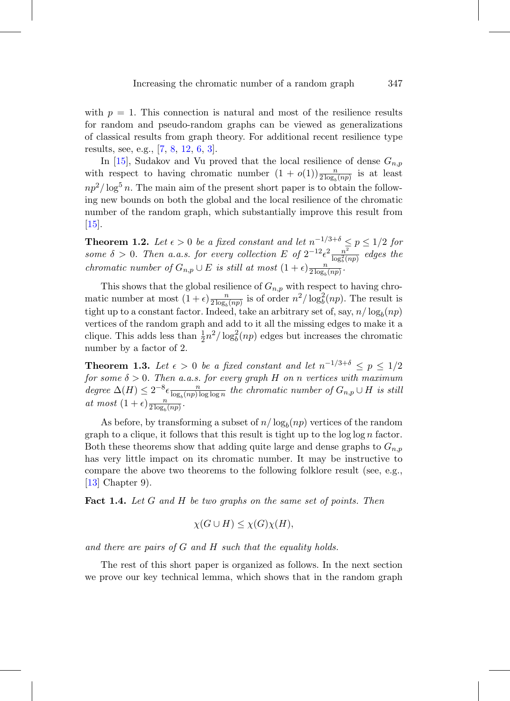with  $p = 1$ . This connection is natural and most of the resilience results for random and pseudo-random graphs can be viewed as generalizations of classical results from graph theory. For additional recent resilience type results, see, e.g., [\[7,](#page-10-4) [8,](#page-10-5) [12,](#page-11-2) [6,](#page-10-6) [3\]](#page-10-7).

In [\[15\]](#page-11-1), Sudakov and Vu proved that the local resilience of dense  $G_{n,p}$ with respect to having chromatic number  $(1 + o(1))\frac{n}{2 \log_b(np)}$  is at least  $np^2/\log^5 n$ . The main aim of the present short paper is to obtain the following new bounds on both the global and the local resilience of the chromatic number of the random graph, which substantially improve this result from [\[15\]](#page-11-1).

<span id="page-2-0"></span>**Theorem 1.2.** Let  $\epsilon > 0$  be a fixed constant and let  $n^{-1/3+\delta} \leq p \leq 1/2$  for some  $\delta > 0$ . Then a.a.s. for every collection E of  $2^{-12} \epsilon^2 \frac{n^2}{\log_b^2(np)}$  edges the chromatic number of  $G_{n,p} \cup E$  is still at most  $(1+\epsilon) \frac{n}{2 \log_b (np)}$ .

This shows that the global resilience of  $G_{n,p}$  with respect to having chromatic number at most  $(1+\epsilon)\frac{n}{2\log_b(np)}$  is of order  $n^2/\log_b^2(np)$ . The result is tight up to a constant factor. Indeed, take an arbitrary set of, say,  $n/\log_b(np)$ vertices of the random graph and add to it all the missing edges to make it a clique. This adds less than  $\frac{1}{2}n^2/\log_b^2(np)$  edges but increases the chromatic number by a factor of 2.

<span id="page-2-1"></span>**Theorem 1.3.** Let  $\epsilon > 0$  be a fixed constant and let  $n^{-1/3+\delta} \leq p \leq 1/2$ for some  $\delta > 0$ . Then a.a.s. for every graph H on n vertices with maximum degree  $\Delta(H) \leq 2^{-8} \epsilon \frac{n}{\log_b(np) \log \log n}$  the chromatic number of  $G_{n,p} \cup H$  is still at most  $(1+\epsilon) \frac{n}{2 \log_b (np)}$ .

As before, by transforming a subset of  $n/\log_b(np)$  vertices of the random graph to a clique, it follows that this result is tight up to the  $\log \log n$  factor. Both these theorems show that adding quite large and dense graphs to  $G_{n,p}$ has very little impact on its chromatic number. It may be instructive to compare the above two theorems to the following folklore result (see, e.g., [\[13\]](#page-11-3) Chapter 9).

**Fact 1.4.** Let G and H be two graphs on the same set of points. Then

$$
\chi(G \cup H) \le \chi(G)\chi(H),
$$

and there are pairs of G and H such that the equality holds.

The rest of this short paper is organized as follows. In the next section we prove our key technical lemma, which shows that in the random graph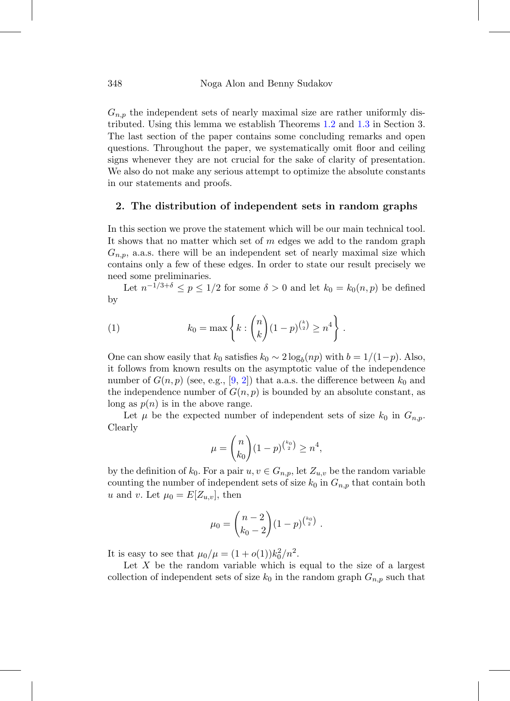$G_{n,p}$  the independent sets of nearly maximal size are rather uniformly distributed. Using this lemma we establish Theorems [1.2](#page-2-0) and [1.3](#page-2-1) in Section 3. The last section of the paper contains some concluding remarks and open questions. Throughout the paper, we systematically omit floor and ceiling signs whenever they are not crucial for the sake of clarity of presentation. We also do not make any serious attempt to optimize the absolute constants in our statements and proofs.

# **2. The distribution of independent sets in random graphs**

In this section we prove the statement which will be our main technical tool. It shows that no matter which set of  $m$  edges we add to the random graph  $G_{n,p}$ , a.a.s. there will be an independent set of nearly maximal size which contains only a few of these edges. In order to state our result precisely we need some preliminaries.

Let  $n^{-1/3+\delta} \le p \le 1/2$  for some  $\delta > 0$  and let  $k_0 = k_0(n, p)$  be defined by

(1) 
$$
k_0 = \max \left\{ k : {n \choose k} (1-p)^{{k \choose 2}} \ge n^4 \right\}.
$$

One can show easily that  $k_0$  satisfies  $k_0 \sim 2 \log_b(np)$  with  $b = 1/(1-p)$ . Also, it follows from known results on the asymptotic value of the independence number of  $G(n, p)$  (see, e.g., [\[9,](#page-10-1) [2\]](#page-10-8)) that a.a.s. the difference between  $k_0$  and the independence number of  $G(n, p)$  is bounded by an absolute constant, as long as  $p(n)$  is in the above range.

Let  $\mu$  be the expected number of independent sets of size  $k_0$  in  $G_{n,p}$ . Clearly

$$
\mu = \binom{n}{k_0} (1-p)^{\binom{k_0}{2}} \ge n^4,
$$

by the definition of  $k_0$ . For a pair  $u, v \in G_{n,p}$ , let  $Z_{u,v}$  be the random variable counting the number of independent sets of size  $k_0$  in  $G_{n,p}$  that contain both u and v. Let  $\mu_0 = E[Z_{u,v}]$ , then

$$
\mu_0 = \binom{n-2}{k_0-2} (1-p)^{\binom{k_0}{2}}.
$$

It is easy to see that  $\mu_0/\mu = (1 + o(1))k_0^2/n^2$ .

Let  $X$  be the random variable which is equal to the size of a largest collection of independent sets of size  $k_0$  in the random graph  $G_{n,p}$  such that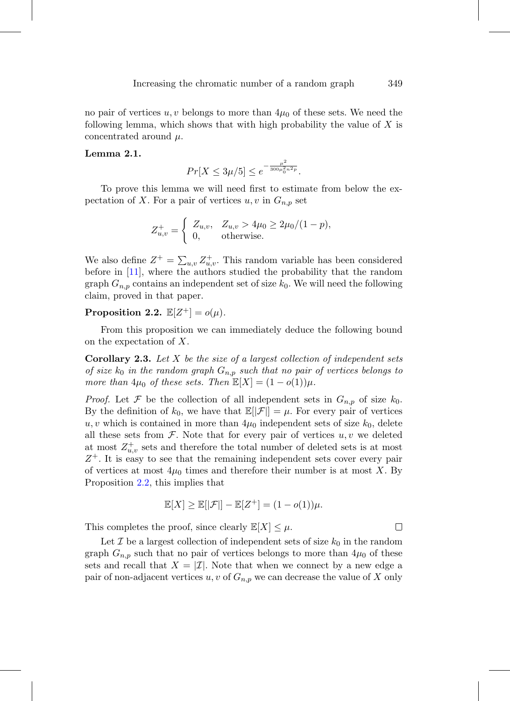no pair of vertices  $u, v$  belongs to more than  $4\mu_0$  of these sets. We need the following lemma, which shows that with high probability the value of  $X$  is concentrated around  $\mu$ .

#### <span id="page-4-1"></span>**Lemma 2.1.**

$$
Pr[X \le 3\mu/5] \le e^{-\frac{\mu^2}{300\mu_0^2 n^2 p}}.
$$

To prove this lemma we will need first to estimate from below the expectation of X. For a pair of vertices  $u, v$  in  $G_{n,p}$  set

$$
Z_{u,v}^{+} = \begin{cases} Z_{u,v}, & Z_{u,v} > 4\mu_0 \ge 2\mu_0/(1-p), \\ 0, & \text{otherwise.} \end{cases}
$$

We also define  $Z^+ = \sum_{u,v} Z^+_{u,v}$ . This random variable has been considered before in [\[11\]](#page-11-4), where the authors studied the probability that the random graph  $G_{n,p}$  contains an independent set of size  $k_0$ . We will need the following claim, proved in that paper.

<span id="page-4-0"></span>**Proposition 2.2.**  $\mathbb{E}[Z^+] = o(\mu)$ .

<span id="page-4-2"></span>From this proposition we can immediately deduce the following bound on the expectation of X.

**Corollary 2.3.** Let X be the size of a largest collection of independent sets of size  $k_0$  in the random graph  $G_{n,p}$  such that no pair of vertices belongs to more than  $4\mu_0$  of these sets. Then  $\mathbb{E}[X] = (1 - o(1))\mu$ .

*Proof.* Let  $\mathcal F$  be the collection of all independent sets in  $G_{n,p}$  of size  $k_0$ . By the definition of  $k_0$ , we have that  $\mathbb{E}[|\mathcal{F}|] = \mu$ . For every pair of vertices u, v which is contained in more than  $4\mu_0$  independent sets of size  $k_0$ , delete all these sets from  $\mathcal{F}$ . Note that for every pair of vertices  $u, v$  we deleted at most  $Z_{u,v}^+$  sets and therefore the total number of deleted sets is at most  $Z^+$ . It is easy to see that the remaining independent sets cover every pair of vertices at most  $4\mu_0$  times and therefore their number is at most X. By Proposition [2.2,](#page-4-0) this implies that

$$
\mathbb{E}[X] \ge \mathbb{E}[|\mathcal{F}|] - \mathbb{E}[Z^+] = (1 - o(1))\mu.
$$

This completes the proof, since clearly  $\mathbb{E}[X] \leq \mu$ .

Let  $\mathcal I$  be a largest collection of independent sets of size  $k_0$  in the random graph  $G_{n,p}$  such that no pair of vertices belongs to more than  $4\mu_0$  of these sets and recall that  $X = \mathcal{I}$ . Note that when we connect by a new edge a pair of non-adjacent vertices u, v of  $G_{n,p}$  we can decrease the value of X only

□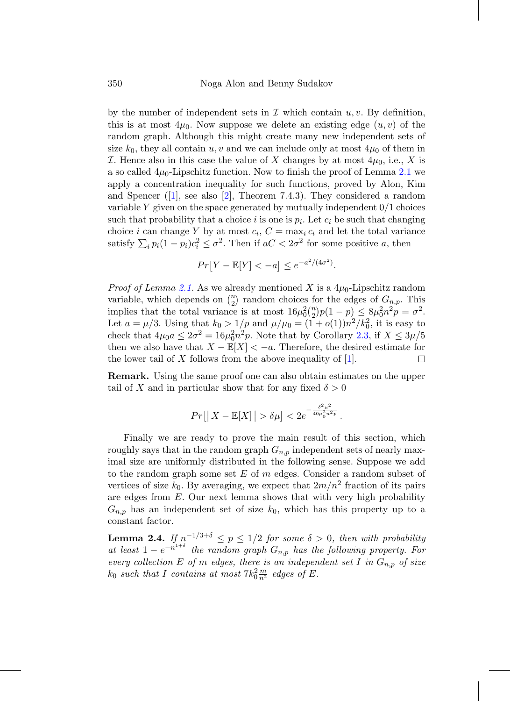by the number of independent sets in  $\mathcal I$  which contain  $u, v$ . By definition, this is at most  $4\mu_0$ . Now suppose we delete an existing edge  $(u, v)$  of the random graph. Although this might create many new independent sets of size  $k_0$ , they all contain  $u, v$  and we can include only at most  $4\mu_0$  of them in *I*. Hence also in this case the value of X changes by at most  $4\mu_0$ , i.e., X is a so called  $4\mu_0$ -Lipschitz function. Now to finish the proof of Lemma [2.1](#page-4-1) we apply a concentration inequality for such functions, proved by Alon, Kim and Spencer  $([1], \text{ see also } [2], \text{ Theorem 7.4.3}.$  $([1], \text{ see also } [2], \text{ Theorem 7.4.3}.$  $([1], \text{ see also } [2], \text{ Theorem 7.4.3}.$  $([1], \text{ see also } [2], \text{ Theorem 7.4.3}.$  $([1], \text{ see also } [2], \text{ Theorem 7.4.3}.$  They considered a random variable  $Y$  given on the space generated by mutually independent  $0/1$  choices such that probability that a choice i is one is  $p_i$ . Let  $c_i$  be such that changing choice i can change Y by at most  $c_i$ ,  $C = \max_i c_i$  and let the total variance satisfy  $\sum_i p_i(1-p_i)c_i^2 \leq \sigma^2$ . Then if  $aC < 2\sigma^2$  for some positive a, then

$$
Pr[Y - \mathbb{E}[Y] < -a] \le e^{-a^2/(4\sigma^2)}.
$$

*Proof of Lemma [2.1.](#page-4-1)* As we already mentioned X is a  $4\mu_0$ -Lipschitz random variable, which depends on  $\binom{n}{2}$  random choices for the edges of  $G_{n,p}$ . This implies that the total variance is at most  $16\mu_0^2{n \choose 2}p(1-p) \leq 8\mu_0^2n^2p = \sigma^2$ . Let  $a = \mu/3$ . Using that  $k_0 > 1/p$  and  $\mu/\mu_0 = (1+o(1))n^2/k_0^2$ , it is easy to check that  $4\mu_0 a \leq 2\sigma^2 = 16\mu_0^2 n^2 p$ . Note that by Corollary [2.3,](#page-4-2) if  $X \leq 3\mu/5$ then we also have that  $X - \mathbb{E}[X] < -a$ . Therefore, the desired estimate for the lower tail of X follows from the above inequality of [1]. the lower tail of X follows from the above inequality of  $[1]$ .

**Remark.** Using the same proof one can also obtain estimates on the upper tail of X and in particular show that for any fixed  $\delta > 0$ 

$$
Pr[|X - \mathbb{E}[X]| > \delta\mu] < 2e^{-\frac{\delta^2\mu^2}{40\mu_0^2 n^2 p}}.
$$

Finally we are ready to prove the main result of this section, which roughly says that in the random graph  $G_{n,p}$  independent sets of nearly maximal size are uniformly distributed in the following sense. Suppose we add to the random graph some set  $E$  of  $m$  edges. Consider a random subset of vertices of size  $k_0$ . By averaging, we expect that  $2m/n^2$  fraction of its pairs are edges from  $E$ . Our next lemma shows that with very high probability  $G_{n,p}$  has an independent set of size  $k_0$ , which has this property up to a constant factor.

<span id="page-5-0"></span>**Lemma 2.4.** If  $n^{-1/3+\delta} \leq p \leq 1/2$  for some  $\delta > 0$ , then with probability at least  $1 - e^{-n^{1+\delta}}$  the random graph  $G_{n,p}$  has the following property. For every collection E of m edges, there is an independent set I in  $G_{n,p}$  of size  $k_0$  such that I contains at most  $7k_0^2 \frac{m}{n^2}$  edges of E.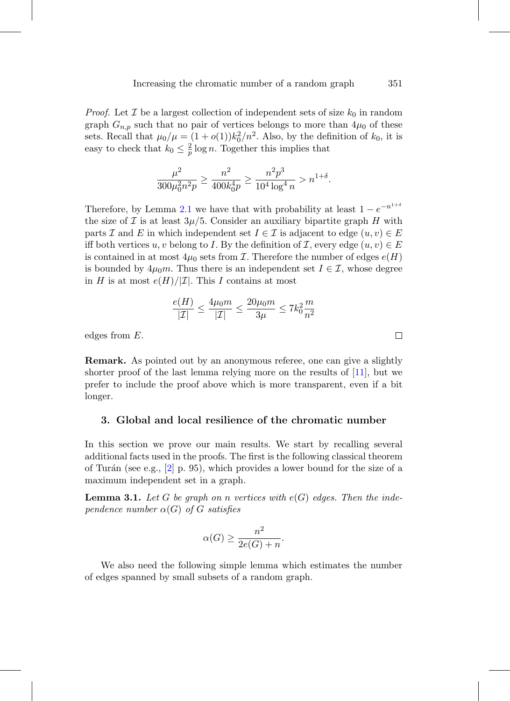*Proof.* Let  $\mathcal I$  be a largest collection of independent sets of size  $k_0$  in random graph  $G_{n,p}$  such that no pair of vertices belongs to more than  $4\mu_0$  of these sets. Recall that  $\mu_0/\mu = (1 + o(1))k_0^2/n^2$ . Also, by the definition of  $k_0$ , it is easy to check that  $k_0 \leq \frac{2}{p} \log n$ . Together this implies that

$$
\frac{\mu^2}{300\mu_0^2 n^2 p} \ge \frac{n^2}{400 k_0^4 p} \ge \frac{n^2 p^3}{10^4 \log^4 n} > n^{1+\delta}.
$$

Therefore, by Lemma [2.1](#page-4-1) we have that with probability at least  $1 - e^{-n^{1+\delta}}$ the size of  $\mathcal I$  is at least  $3\mu/5$ . Consider an auxiliary bipartite graph  $H$  with parts I and E in which independent set  $I \in \mathcal{I}$  is adjacent to edge  $(u, v) \in E$ iff both vertices u, v belong to I. By the definition of I, every edge  $(u, v) \in E$ is contained in at most  $4\mu_0$  sets from *I*. Therefore the number of edges  $e(H)$ is bounded by  $4\mu_0 m$ . Thus there is an independent set  $I \in \mathcal{I}$ , whose degree in H is at most  $e(H)/|\mathcal{I}|$ . This I contains at most

$$
\frac{e(H)}{|{\cal I}|} \le \frac{4\mu_0 m}{|{\cal I}|} \le \frac{20\mu_0 m}{3\mu} \le 7k_0^2 \frac{m}{n^2}
$$

edges from E.

**Remark.** As pointed out by an anonymous referee, one can give a slightly shorter proof of the last lemma relying more on the results of [\[11\]](#page-11-4), but we prefer to include the proof above which is more transparent, even if a bit longer.

## **3. Global and local resilience of the chromatic number**

In this section we prove our main results. We start by recalling several additional facts used in the proofs. The first is the following classical theorem of Turán (see e.g.,  $[2]$  p. 95), which provides a lower bound for the size of a maximum independent set in a graph.

<span id="page-6-0"></span>**Lemma 3.1.** Let G be graph on n vertices with  $e(G)$  edges. Then the independence number  $\alpha(G)$  of G satisfies

$$
\alpha(G) \ge \frac{n^2}{2e(G) + n}.
$$

<span id="page-6-1"></span>We also need the following simple lemma which estimates the number of edges spanned by small subsets of a random graph.

 $\Box$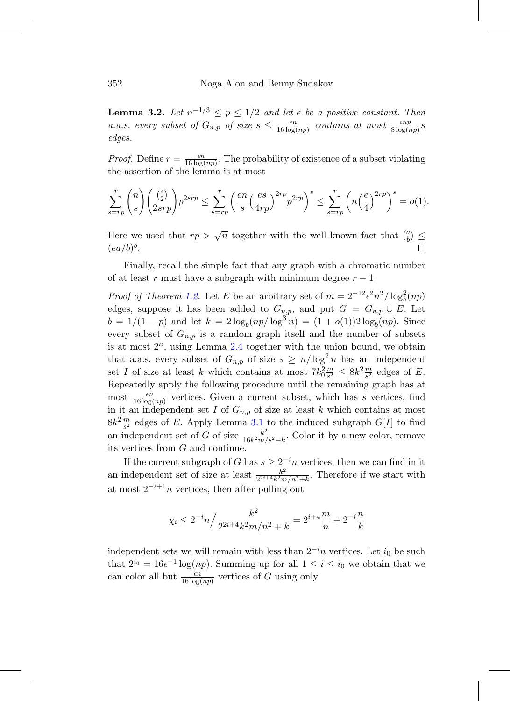**Lemma 3.2.** Let  $n^{-1/3} \leq p \leq 1/2$  and let  $\epsilon$  be a positive constant. Then a.a.s. every subset of  $G_{n,p}$  of size  $s \leq \frac{\epsilon n}{16 \log(np)}$  contains at most  $\frac{\epsilon np}{8 \log(np)}s$ edges.

*Proof.* Define  $r = \frac{\epsilon n}{16 \log(np)}$ . The probability of existence of a subset violating the assertion of the lemma is at most

$$
\sum_{s=rp}^r \binom{n}{s} \binom{\binom{s}{2}}{2srp} p^{2srp} \le \sum_{s=rp}^r \left(\frac{en}{s} \left(\frac{es}{4rp}\right)^{2rp} p^{2rp}\right)^s \le \sum_{s=rp}^r \left(n\left(\frac{e}{4}\right)^{2rp}\right)^s = o(1).
$$

Here we used that  $rp > \sqrt{n}$  together with the well known fact that  $\binom{a}{b} \leq$  $(ea/b)^b$ .

Finally, recall the simple fact that any graph with a chromatic number of at least r must have a subgraph with minimum degree  $r - 1$ .

*Proof of Theorem [1.2.](#page-2-0)* Let E be an arbitrary set of  $m = 2^{-12} \epsilon^2 n^2 / \log_b^2(np)$ edges, suppose it has been added to  $G_{n,p}$ , and put  $G = G_{n,p} \cup E$ . Let  $b = 1/(1 - p)$  and let  $k = 2 \log_b(np/\log^3 n) = (1 + o(1))2 \log_b(np)$ . Since every subset of  $G_{n,p}$  is a random graph itself and the number of subsets is at most  $2^n$ , using Lemma [2.4](#page-5-0) together with the union bound, we obtain that a.a.s. every subset of  $G_{n,p}$  of size  $s \geq n/\log^2 n$  has an independent set I of size at least k which contains at most  $7k_0^2 \frac{m}{s^2} \leq 8k^2 \frac{m}{s^2}$  edges of E. Repeatedly apply the following procedure until the remaining graph has at most  $\frac{\epsilon n}{16 \log(np)}$  vertices. Given a current subset, which has s vertices, find in it an independent set I of  $G_{n,p}$  of size at least k which contains at most  $8k^2 \frac{m}{s^2}$  edges of E. Apply Lemma [3.1](#page-6-0) to the induced subgraph  $G[I]$  to find an independent set of G of size  $\frac{k^2}{16k^2m/s^2+k}$ . Color it by a new color, remove its vertices from G and continue.

If the current subgraph of G has  $s \geq 2^{-i}n$  vertices, then we can find in it an independent set of size at least  $\frac{k^2}{2^{2i+4}k^2m/n^2+k}$ . Therefore if we start with at most  $2^{-i+1}n$  vertices, then after pulling out

$$
\chi_i \le 2^{-i}n \Big/ \frac{k^2}{2^{2i+4}k^2m/n^2 + k} = 2^{i+4}\frac{m}{n} + 2^{-i}\frac{n}{k}
$$

independent sets we will remain with less than  $2^{-i}n$  vertices. Let  $i_0$  be such that  $2^{i_0} = 16\epsilon^{-1} \log(np)$ . Summing up for all  $1 \leq i \leq i_0$  we obtain that we can color all but  $\frac{\epsilon n}{16 \log(np)}$  vertices of G using only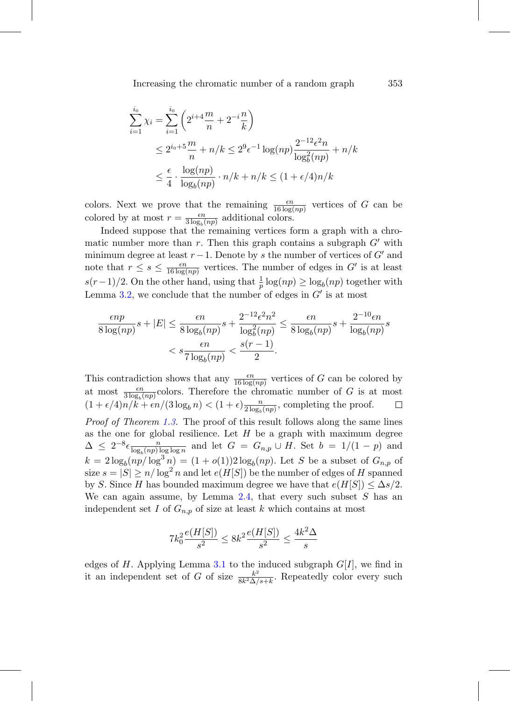$$
\sum_{i=1}^{i_0} \chi_i = \sum_{i=1}^{i_0} \left( 2^{i+4} \frac{m}{n} + 2^{-i} \frac{n}{k} \right)
$$
  
\n
$$
\leq 2^{i_0+5} \frac{m}{n} + n/k \leq 2^9 \epsilon^{-1} \log(np) \frac{2^{-12} \epsilon^2 n}{\log_b^2(np)} + n/k
$$
  
\n
$$
\leq \frac{\epsilon}{4} \cdot \frac{\log(np)}{\log_b(np)} \cdot n/k + n/k \leq (1 + \epsilon/4)n/k
$$

colors. Next we prove that the remaining  $\frac{\epsilon n}{16 \log(np)}$  vertices of G can be colored by at most  $r = \frac{\epsilon n}{3 \log_b(np)}$  additional colors.

Indeed suppose that the remaining vertices form a graph with a chromatic number more than r. Then this graph contains a subgraph  $G'$  with minimum degree at least  $r-1$ . Denote by s the number of vertices of G' and note that  $r \leq s \leq \frac{\epsilon n}{16 \log(np)}$  vertices. The number of edges in G' is at least  $s(r-1)/2$ . On the other hand, using that  $\frac{1}{p} \log(np) \geq \log_b(np)$  together with Lemma [3.2,](#page-6-1) we conclude that the number of edges in  $G'$  is at most

$$
\frac{\epsilon np}{8 \log(np)} s + |E| \le \frac{\epsilon n}{8 \log_b(np)} s + \frac{2^{-12} \epsilon^2 n^2}{\log_b^2(np)} \le \frac{\epsilon n}{8 \log_b(np)} s + \frac{2^{-10} \epsilon n}{\log_b(np)} s
$$
  

$$
\le s \frac{\epsilon n}{7 \log_b(np)} < \frac{s(r-1)}{2}.
$$

This contradiction shows that any  $\frac{\epsilon n}{16 \log(np)}$  vertices of G can be colored by at most  $\frac{\epsilon n}{3 \log_b(np)}$ colors. Therefore the chromatic number of G is at most  $(1 + \epsilon/4)n/k + \epsilon n/(3 \log_b n) < (1 + \epsilon) \frac{n}{2 \log_b (np)},$  completing the proof.  $\Box$ Proof of Theorem [1.3.](#page-2-1) The proof of this result follows along the same lines as the one for global resilience. Let  $H$  be a graph with maximum degree  $\Delta \leq 2^{-8} \epsilon \frac{n}{\log_b (np) \log \log n}$  and let  $G = G_{n,p} \cup H$ . Set  $b = 1/(1-p)$  and  $k = 2 \log_b(np/\log^3 n) = (1 + o(1))2 \log_b(np)$ . Let S be a subset of  $G_{n,p}$  of size  $s = |S| \ge n / \log^2 n$  and let  $e(H|S|)$  be the number of edges of H spanned by S. Since H has bounded maximum degree we have that  $e(H[S]) \leq \Delta s/2$ . We can again assume, by Lemma  $2.4$ , that every such subset S has an independent set I of  $G_{n,p}$  of size at least k which contains at most

$$
7k_0^2 \frac{e(H[S])}{s^2} \le 8k^2 \frac{e(H[S])}{s^2} \le \frac{4k^2 \Delta}{s}
$$

edges of H. Applying Lemma [3.1](#page-6-0) to the induced subgraph  $G[I]$ , we find in it an independent set of G of size  $\frac{k^2}{8k^2\Delta/s+k}$ . Repeatedly color every such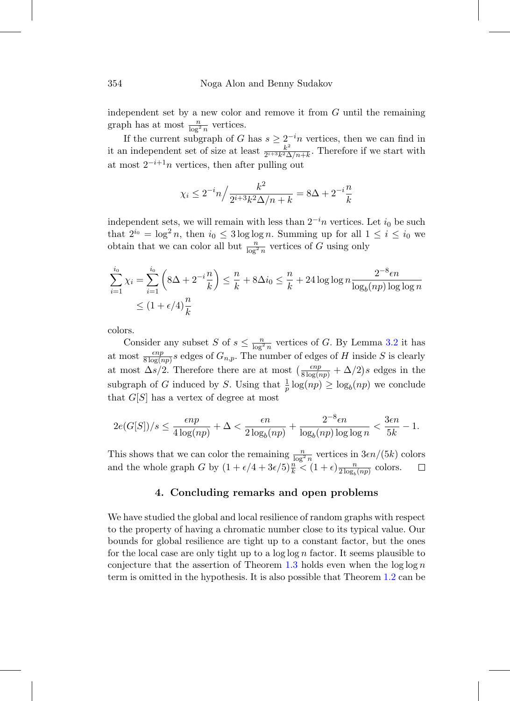independent set by a new color and remove it from  $G$  until the remaining graph has at most  $\frac{n}{\log^2 n}$  vertices.

If the current subgraph of G has  $s \geq 2^{-i}n$  vertices, then we can find in it an independent set of size at least  $\frac{k^2}{2^{i+3}k^2\Delta/n+k}$ . Therefore if we start with at most  $2^{-i+1}n$  vertices, then after pulling out

$$
\chi_i \le 2^{-i} n / \frac{k^2}{2^{i+3} k^2 \Delta/n + k} = 8\Delta + 2^{-i} \frac{n}{k}
$$

independent sets, we will remain with less than  $2^{-i}n$  vertices. Let  $i_0$  be such that  $2^{i_0} = \log^2 n$ , then  $i_0 \leq 3 \log \log n$ . Summing up for all  $1 \leq i \leq i_0$  we obtain that we can color all but  $\frac{n}{\log^2 n}$  vertices of G using only

$$
\sum_{i=1}^{i_0} \chi_i = \sum_{i=1}^{i_0} \left( 8\Delta + 2^{-i} \frac{n}{k} \right) \le \frac{n}{k} + 8\Delta i_0 \le \frac{n}{k} + 24 \log \log n \frac{2^{-8} \epsilon n}{\log_b (np) \log \log n}
$$
  
 
$$
\le (1 + \epsilon/4) \frac{n}{k}
$$

colors.

Consider any subset S of  $s \leq \frac{n}{\log^2 n}$  vertices of G. By Lemma [3.2](#page-6-1) it has at most  $\frac{\epsilon np}{8 \log(np)}s$  edges of  $G_{n,p}$ . The number of edges of H inside S is clearly at most  $\Delta s/2$ . Therefore there are at most  $\left(\frac{\epsilon np}{8 \log(np)} + \Delta/2\right) s$  edges in the subgraph of G induced by S. Using that  $\frac{1}{p} \log(np) \geq \log_b(np)$  we conclude that  $G[S]$  has a vertex of degree at most

$$
2e(G[S])/s \leq \frac{\epsilon np}{4\log (np)} + \Delta < \frac{\epsilon n}{2\log_b(np)} + \frac{2^{-8}\epsilon n}{\log_b(np)\log\log n} < \frac{3\epsilon n}{5k} - 1.
$$

This shows that we can color the remaining  $\frac{n}{\log^2 n}$  vertices in  $3\epsilon n/(5k)$  colors and the whole graph G by  $(1 + \epsilon/4 + 3\epsilon/5)\frac{n}{k} < (1 + \epsilon)\frac{n}{2\log_b(np)}$  colors.

# **4. Concluding remarks and open problems**

We have studied the global and local resilience of random graphs with respect to the property of having a chromatic number close to its typical value. Our bounds for global resilience are tight up to a constant factor, but the ones for the local case are only tight up to a  $\log \log n$  factor. It seems plausible to conjecture that the assertion of Theorem [1.3](#page-2-1) holds even when the  $\log \log n$ term is omitted in the hypothesis. It is also possible that Theorem [1.2](#page-2-0) can be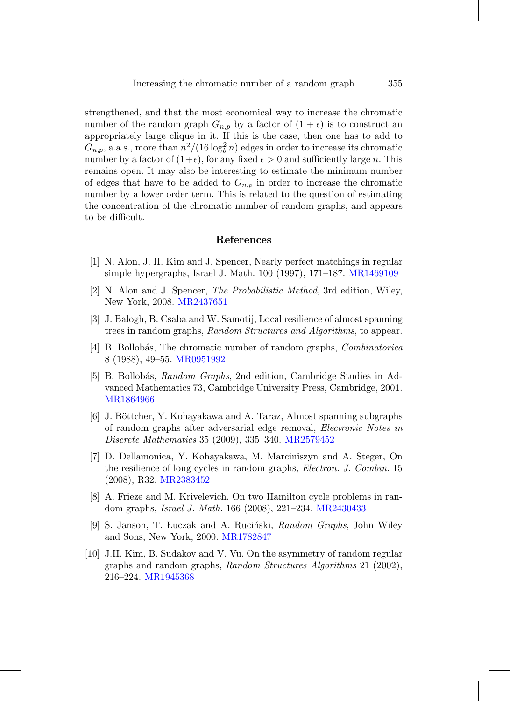strengthened, and that the most economical way to increase the chromatic number of the random graph  $G_{n,p}$  by a factor of  $(1 + \epsilon)$  is to construct an appropriately large clique in it. If this is the case, then one has to add to  $G_{n,p}$ , a.a.s., more than  $n^2/(16 \log_b^2 n)$  edges in order to increase its chromatic number by a factor of  $(1+\epsilon)$ , for any fixed  $\epsilon > 0$  and sufficiently large n. This remains open. It may also be interesting to estimate the minimum number of edges that have to be added to  $G_{n,p}$  in order to increase the chromatic number by a lower order term. This is related to the question of estimating the concentration of the chromatic number of random graphs, and appears to be difficult.

# **References**

- <span id="page-10-9"></span>[1] N. Alon, J. H. Kim and J. Spencer, Nearly perfect matchings in regular simple hypergraphs, Israel J. Math. 100 (1997), 171–187. [MR1469109](http://www.ams.org/mathscinet-getitem?mr=1469109)
- <span id="page-10-8"></span>[2] N. Alon and J. Spencer, The Probabilistic Method, 3rd edition, Wiley, New York, 2008. [MR2437651](http://www.ams.org/mathscinet-getitem?mr=2437651)
- <span id="page-10-7"></span>[3] J. Balogh, B. Csaba and W. Samotij, Local resilience of almost spanning trees in random graphs, Random Structures and Algorithms, to appear.
- <span id="page-10-2"></span>[4] B. Bollobás, The chromatic number of random graphs, *Combinatorica* 8 (1988), 49–55. [MR0951992](http://www.ams.org/mathscinet-getitem?mr=0951992)
- <span id="page-10-0"></span> $[5]$  B. Bollobás, Random Graphs, 2nd edition, Cambridge Studies in Advanced Mathematics 73, Cambridge University Press, Cambridge, 2001. [MR1864966](http://www.ams.org/mathscinet-getitem?mr=1864966)
- <span id="page-10-6"></span>[6] J. Böttcher, Y. Kohayakawa and A. Taraz, Almost spanning subgraphs of random graphs after adversarial edge removal, Electronic Notes in Discrete Mathematics 35 (2009), 335–340. [MR2579452](http://www.ams.org/mathscinet-getitem?mr=2579452)
- <span id="page-10-4"></span>[7] D. Dellamonica, Y. Kohayakawa, M. Marciniszyn and A. Steger, On the resilience of long cycles in random graphs, Electron. J. Combin. 15 (2008), R32. [MR2383452](http://www.ams.org/mathscinet-getitem?mr=2383452)
- <span id="page-10-5"></span>[8] A. Frieze and M. Krivelevich, On two Hamilton cycle problems in random graphs, Israel J. Math. 166 (2008), 221–234. [MR2430433](http://www.ams.org/mathscinet-getitem?mr=2430433)
- <span id="page-10-1"></span>[9] S. Janson, T. Luczak and A. Ruciński, *Random Graphs*, John Wiley and Sons, New York, 2000. [MR1782847](http://www.ams.org/mathscinet-getitem?mr=1782847)
- <span id="page-10-3"></span>[10] J.H. Kim, B. Sudakov and V. Vu, On the asymmetry of random regular graphs and random graphs, Random Structures Algorithms 21 (2002), 216–224. [MR1945368](http://www.ams.org/mathscinet-getitem?mr=1945368)